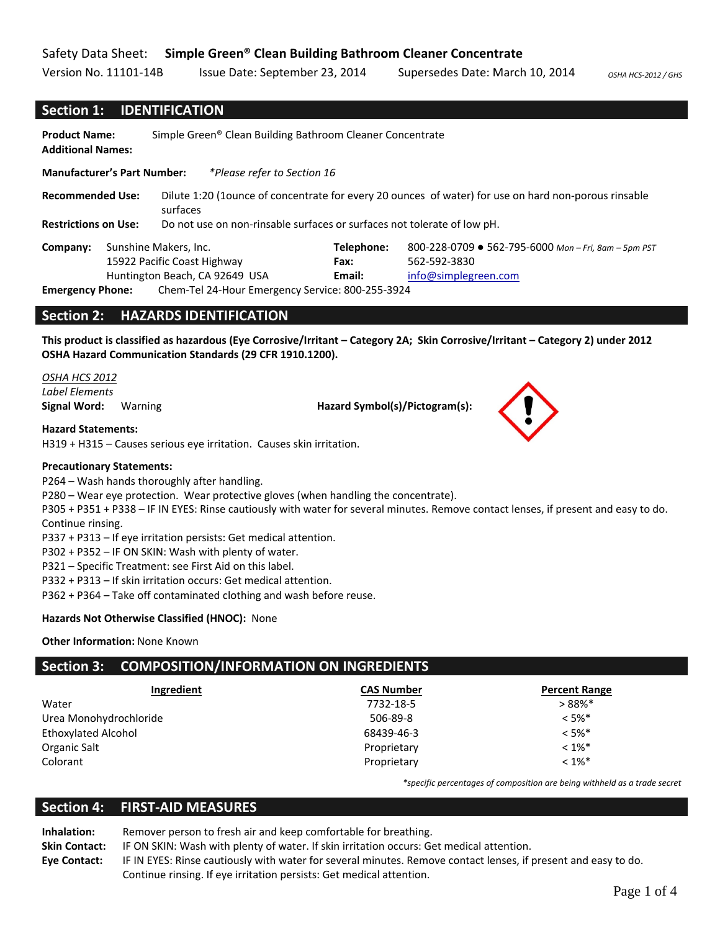## Safety Data Sheet: **Simple Green® Clean Building Bathroom Cleaner Concentrate**

Version No. 11101‐14B Issue Date: September 23, 2014 Supersedes Date: March 10, 2014 *OSHA HCS‐<sup>2012</sup> / GHS*

#### **Section 1: IDENTIFICATION**

**Product Name:** Simple Green® Clean Building Bathroom Cleaner Concentrate **Additional Names: Manufacturer's Part Number:** *\*Please refer to Section 16* **Recommended Use:** Dilute 1:20 (1ounce of concentrate for every 20 ounces of water) for use on hard non‐porous rinsable surfaces **Restrictions on Use:** Do not use on non‐rinsable surfaces or surfaces not tolerate of low pH. **Company:** Sunshine Makers, Inc. 15922 Pacific Coast Highway Huntington Beach, CA 92649 USA **Telephone:** 800‐228‐0709 ● 562‐795‐6000 *Mon – Fri, 8am – 5pm PST* **Fax:** 562‐592‐3830 **Email:** info@simplegreen.com **Emergency Phone:** Chem‐Tel 24‐Hour Emergency Service: 800‐255‐3924

#### **Section 2: HAZARDS IDENTIFICATION**

This product is classified as hazardous (Eye Corrosive/Irritant - Category 2A; Skin Corrosive/Irritant - Category 2) under 2012 **OSHA Hazard Communication Standards (29 CFR 1910.1200).** 

*OSHA HCS 2012 Label Elements*

**Signal Word:** Warning **Hazard Symbol(s)/Pictogram(s):**

**Hazard Statements:**

H319 + H315 – Causes serious eye irritation. Causes skin irritation.

#### **Precautionary Statements:**

P264 – Wash hands thoroughly after handling.

P280 – Wear eye protection. Wear protective gloves (when handling the concentrate).

P305 + P351 + P338 – IF IN EYES: Rinse cautiously with water for several minutes. Remove contact lenses, if present and easy to do. Continue rinsing.

P337 + P313 – If eye irritation persists: Get medical attention.

P302 + P352 – IF ON SKIN: Wash with plenty of water.

P321 – Specific Treatment: see First Aid on this label.

P332 + P313 – If skin irritation occurs: Get medical attention.

P362 + P364 – Take off contaminated clothing and wash before reuse.

#### **Hazards Not Otherwise Classified (HNOC):** None

#### **Other Information:** None Known

# **Section 3: COMPOSITION/INFORMATION ON INGREDIENTS**

| Ingredient                 | <b>CAS Number</b> | <b>Percent Range</b> |
|----------------------------|-------------------|----------------------|
| Water                      | 7732-18-5         | $>88\%$ *            |
| Urea Monohydrochloride     | 506-89-8          | $< 5\%$ *            |
| <b>Ethoxylated Alcohol</b> | 68439-46-3        | $< 5\%$ *            |
| Organic Salt               | Proprietary       | $< 1\%$ *            |
| Colorant                   | Proprietary       | $< 1\%$ *            |

*\*specific percentages of composition are being withheld as a trade secret*

# **Section 4: FIRST‐AID MEASURES**

**Inhalation:** Remover person to fresh air and keep comfortable for breathing. **Skin Contact:** IF ON SKIN: Wash with plenty of water. If skin irritation occurs: Get medical attention. **Eye Contact:** IF IN EYES: Rinse cautiously with water for several minutes. Remove contact lenses, if present and easy to do. Continue rinsing. If eye irritation persists: Get medical attention.

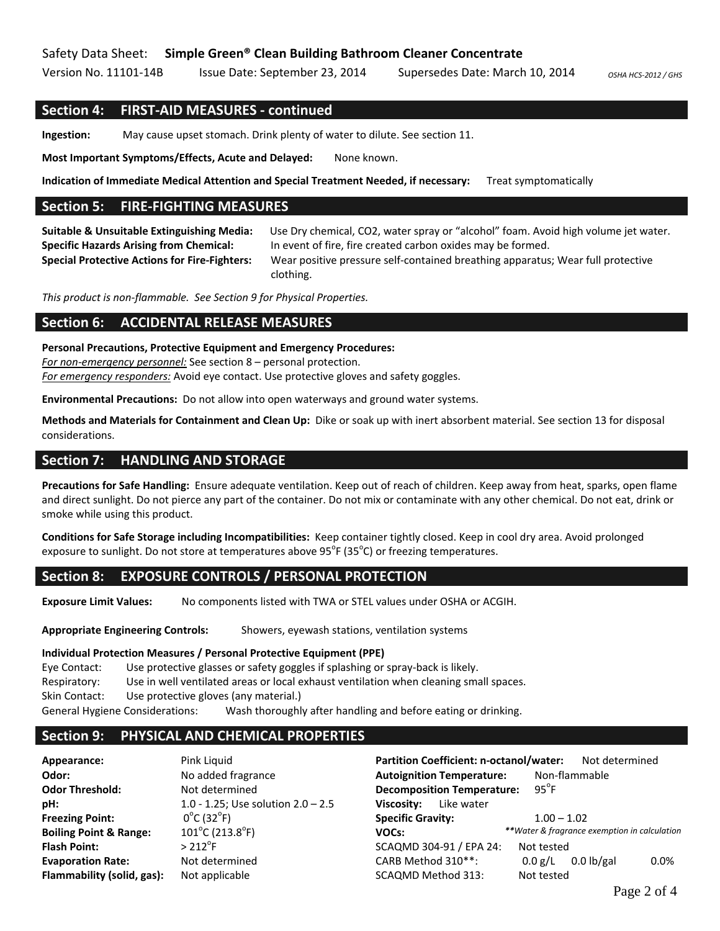## Safety Data Sheet: **Simple Green® Clean Building Bathroom Cleaner Concentrate**

Version No. 11101‐14B Issue Date: September 23, 2014 Supersedes Date: March 10, 2014 *OSHA HCS‐<sup>2012</sup> / GHS*

#### **Section 4: FIRST‐AID MEASURES ‐ continued**

**Ingestion:** May cause upset stomach. Drink plenty of water to dilute. See section 11.

**Most Important Symptoms/Effects, Acute and Delayed:** None known.

**Indication of Immediate Medical Attention and Special Treatment Needed, if necessary:** Treat symptomatically

## **Section 5: FIRE‐FIGHTING MEASURES**

**Suitable & Unsuitable Extinguishing Media:** Use Dry chemical, CO2, water spray or "alcohol" foam. Avoid high volume jet water. **Specific Hazards Arising from Chemical:** In event of fire, fire created carbon oxides may be formed. **Special Protective Actions for Fire‐Fighters:** Wear positive pressure self‐contained breathing apparatus; Wear full protective clothing.

*This product is non‐flammable. See Section 9 for Physical Properties.*

#### **Section 6: ACCIDENTAL RELEASE MEASURES**

#### **Personal Precautions, Protective Equipment and Emergency Procedures:**

*For non‐emergency personnel:* See section 8 – personal protection.

*For emergency responders:* Avoid eye contact. Use protective gloves and safety goggles.

**Environmental Precautions:** Do not allow into open waterways and ground water systems.

**Methods and Materials for Containment and Clean Up:** Dike or soak up with inert absorbent material. See section 13 for disposal considerations.

#### **Section 7: HANDLING AND STORAGE**

**Precautions for Safe Handling:** Ensure adequate ventilation. Keep out of reach of children. Keep away from heat, sparks, open flame and direct sunlight. Do not pierce any part of the container. Do not mix or contaminate with any other chemical. Do not eat, drink or smoke while using this product.

**Conditions for Safe Storage including Incompatibilities:** Keep container tightly closed. Keep in cool dry area. Avoid prolonged exposure to sunlight. Do not store at temperatures above  $95^{\circ}$ F (35 $^{\circ}$ C) or freezing temperatures.

## **Section 8: EXPOSURE CONTROLS / PERSONAL PROTECTION**

**Exposure Limit Values:** No components listed with TWA or STEL values under OSHA or ACGIH.

**Appropriate Engineering Controls:** Showers, eyewash stations, ventilation systems

#### **Individual Protection Measures / Personal Protective Equipment (PPE)**

Eye Contact: Use protective glasses or safety goggles if splashing or spray‐back is likely. Respiratory: Use in well ventilated areas or local exhaust ventilation when cleaning small spaces. Skin Contact: Use protective gloves (any material.) General Hygiene Considerations: Wash thoroughly after handling and before eating or drinking.

## **Section 9: PHYSICAL AND CHEMICAL PROPERTIES**

| Appearance:                       | Pink Liquid                          | <b>Partition Coefficient: n-octanol/water:</b> | Not determined                               |
|-----------------------------------|--------------------------------------|------------------------------------------------|----------------------------------------------|
| Odor:                             | No added fragrance                   | <b>Autoignition Temperature:</b>               | Non-flammable                                |
| <b>Odor Threshold:</b>            | Not determined                       | <b>Decomposition Temperature:</b>              | $95^{\circ}$ F                               |
| pH:                               | 1.0 - 1.25; Use solution $2.0 - 2.5$ | Like water<br>Viscosity:                       |                                              |
| <b>Freezing Point:</b>            | $0^{\circ}$ C (32 $^{\circ}$ F)      | <b>Specific Gravity:</b>                       | $1.00 - 1.02$                                |
| <b>Boiling Point &amp; Range:</b> | $101^{\circ}$ C (213.8 $^{\circ}$ F) | VOCs:                                          | **Water & fragrance exemption in calculation |
| <b>Flash Point:</b>               | $>212^{\circ}$ F                     | SCAQMD 304-91 / EPA 24:                        | Not tested                                   |
| <b>Evaporation Rate:</b>          | Not determined                       | CARB Method 310**:                             | $0.0$ lb/gal<br>0.0 g/L<br>$0.0\%$           |
| Flammability (solid, gas):        | Not applicable                       | SCAQMD Method 313:                             | Not tested                                   |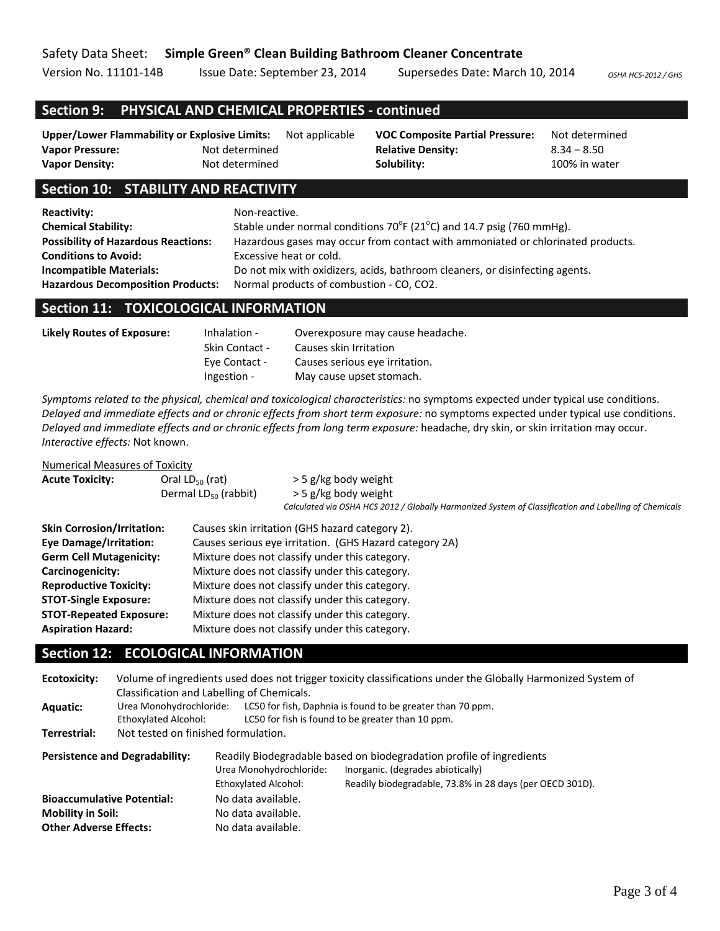Version No. 11101-14B Issue Date: September 23, 2014 Supersedes Date: March 10, 2014 *OSHA HCS-2012*/GHS

# **Section 9: PHYSICAL AND CHEMICAL PROPERTIES ‐ continued**

| <b>Upper/Lower Flammability or Explosive Limits:</b> |                | Not applicable | <b>VOC Composite Partial Pressure:</b> | Not determine |
|------------------------------------------------------|----------------|----------------|----------------------------------------|---------------|
| <b>Vapor Pressure:</b>                               | Not determined |                | <b>Relative Density:</b>               | $8.34 - 8.50$ |
| <b>Vapor Density:</b>                                | Not determined |                | Solubility:                            | 100% in water |

# **Section 10: STABILITY AND REACTIVITY**

| <b>Reactivity:</b>                         | Non-reactive.                                                                       |
|--------------------------------------------|-------------------------------------------------------------------------------------|
| <b>Chemical Stability:</b>                 | Stable under normal conditions $70^{\circ}F(21^{\circ}C)$ and 14.7 psig (760 mmHg). |
| <b>Possibility of Hazardous Reactions:</b> | Hazardous gases may occur from contact with ammoniated or chlorinated products.     |
| <b>Conditions to Avoid:</b>                | Excessive heat or cold.                                                             |
| <b>Incompatible Materials:</b>             | Do not mix with oxidizers, acids, bathroom cleaners, or disinfecting agents.        |
| <b>Hazardous Decomposition Products:</b>   | Normal products of combustion - CO, CO2.                                            |

#### **Section 11: TOXICOLOGICAL INFORMATION**

| Likely Routes of Exposure: | Inhalation -          | Overexposure may cause headache. |
|----------------------------|-----------------------|----------------------------------|
|                            | <b>Skin Contact -</b> | Causes skin Irritation           |
|                            | Eye Contact -         | Causes serious eye irritation.   |
|                            | Ingestion -           | May cause upset stomach.         |
|                            |                       |                                  |

*Symptoms related to the physical, chemical and toxicological characteristics:* no symptoms expected under typical use conditions. *Delayed and immediate effects and or chronic effects from short term exposure:* no symptoms expected under typical use conditions. *Delayed and immediate effects and or chronic effects from long term exposure:* headache, dry skin, or skin irritation may occur. *Interactive effects:* Not known.

#### Numerical Measures of Toxicity

| 119111161169111169391630110A16161 |                                                |                                                                                                        |  |  |
|-----------------------------------|------------------------------------------------|--------------------------------------------------------------------------------------------------------|--|--|
| <b>Acute Toxicity:</b>            | Oral $LD_{50}$ (rat)                           | > 5 g/kg body weight                                                                                   |  |  |
|                                   | Dermal $LD_{50}$ (rabbit)                      | > 5 g/kg body weight                                                                                   |  |  |
|                                   |                                                | Calculated via OSHA HCS 2012 / Globally Harmonized System of Classification and Labelling of Chemicals |  |  |
| <b>Skin Corrosion/Irritation:</b> |                                                | Causes skin irritation (GHS hazard category 2).                                                        |  |  |
| <b>Eye Damage/Irritation:</b>     |                                                | Causes serious eye irritation. (GHS Hazard category 2A)                                                |  |  |
| <b>Germ Cell Mutagenicity:</b>    |                                                | Mixture does not classify under this category.                                                         |  |  |
| Carcinogenicity:                  |                                                | Mixture does not classify under this category.                                                         |  |  |
| <b>Reproductive Toxicity:</b>     |                                                | Mixture does not classify under this category.                                                         |  |  |
| <b>STOT-Single Exposure:</b>      |                                                | Mixture does not classify under this category.                                                         |  |  |
| <b>STOT-Repeated Exposure:</b>    | Mixture does not classify under this category. |                                                                                                        |  |  |
| <b>Aspiration Hazard:</b>         |                                                | Mixture does not classify under this category.                                                         |  |  |

# **Section 12: ECOLOGICAL INFORMATION**

| Ecotoxicity:                                                                                                                                                                                          |                                                        | Volume of ingredients used does not trigger toxicity classifications under the Globally Harmonized System of<br>Classification and Labelling of Chemicals. |                                                                                                                 |  |  |
|-------------------------------------------------------------------------------------------------------------------------------------------------------------------------------------------------------|--------------------------------------------------------|------------------------------------------------------------------------------------------------------------------------------------------------------------|-----------------------------------------------------------------------------------------------------------------|--|--|
| Aquatic:                                                                                                                                                                                              | Urea Monohydrochloride:<br><b>Ethoxylated Alcohol:</b> |                                                                                                                                                            | LC50 for fish, Daphnia is found to be greater than 70 ppm.<br>LC50 for fish is found to be greater than 10 ppm. |  |  |
| Terrestrial:                                                                                                                                                                                          | Not tested on finished formulation.                    |                                                                                                                                                            |                                                                                                                 |  |  |
| Readily Biodegradable based on biodegradation profile of ingredients<br><b>Persistence and Degradability:</b><br>Inorganic. (degrades abiotically)<br>Urea Monohydrochloride:<br>Ethoxylated Alcohol: |                                                        | Readily biodegradable, 73.8% in 28 days (per OECD 301D).                                                                                                   |                                                                                                                 |  |  |
| <b>Bioaccumulative Potential:</b><br><b>Mobility in Soil:</b><br><b>Other Adverse Effects:</b>                                                                                                        |                                                        | No data available.<br>No data available.<br>No data available.                                                                                             |                                                                                                                 |  |  |